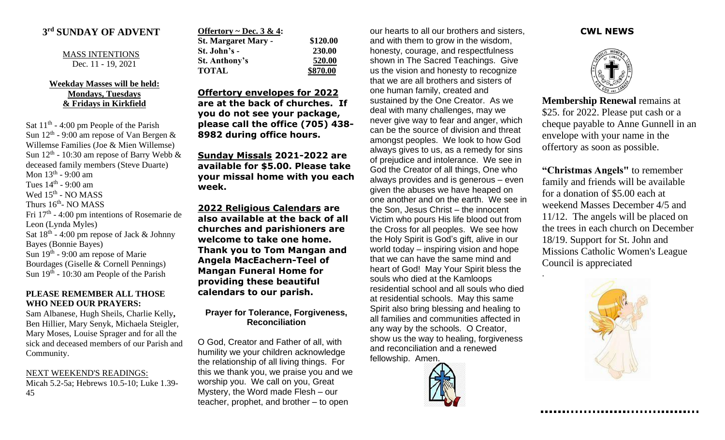## **3 rd SUNDAY OF ADVENT**

MASS INTENTIONS Dec. 11 - 19, 2021

## **Weekday Masses will be held: Mondays, Tuesdays & Fridays in Kirkfield**

Sat  $11<sup>th</sup> - 4:00$  pm People of the Parish Sun  $12<sup>th</sup>$  - 9:00 am repose of Van Bergen & Willemse Families (Joe & Mien Willemse) Sun  $12<sup>th</sup>$  - 10:30 am repose of Barry Webb  $\&$ deceased family members (Steve Duarte) Mon 13<sup>th</sup> - 9:00 am Tues  $14<sup>th</sup>$  - 9:00 am Wed 15<sup>th</sup> - NO MASS Thurs 16<sup>th</sup>- NO MASS Fri 17<sup>th</sup> - 4:00 pm intentions of Rosemarie de Leon (Lynda Myles) Sat  $18<sup>th</sup>$  - 4:00 pm repose of Jack & Johnny Bayes (Bonnie Bayes) Sun 19<sup>th</sup> - 9:00 am repose of Marie Bourdages (Giselle & Cornell Pennings) Sun  $19<sup>th</sup>$  - 10:30 am People of the Parish

## **PLEASE REMEMBER ALL THOSE WHO NEED OUR PRAYERS:**

Sam Albanese, Hugh Sheils, Charlie Kelly**,**  Ben Hillier, Mary Senyk, Michaela Steigler, Mary Moses, Louise Sprager and for all the sick and deceased members of our Parish and Community.

NEXT WEEKEND'S READINGS:

Micah 5.2-5a; Hebrews 10.5-10; Luke 1.39- 45

| Offertory ~ Dec. 3 & 4:    |          |
|----------------------------|----------|
| <b>St. Margaret Mary -</b> | \$120.00 |
| St. John's -               | 230.00   |
| St. Anthony's              | 520.00   |
| <b>TOTAL</b>               | \$870.00 |

**Offertory envelopes for 2022 are at the back of churches. If you do not see your package, please call the office (705) 438- 8982 during office hours.**

**Sunday Missals 2021-2022 are available for \$5.00. Please take your missal home with you each week.**

**2022 Religious Calendars are also available at the back of all churches and parishioners are welcome to take one home. Thank you to Tom Mangan and Angela MacEachern-Teel of Mangan Funeral Home for providing these beautiful calendars to our parish.**

**Prayer for Tolerance, Forgiveness, Reconciliation**

O God, Creator and Father of all, with humility we your children acknowledge the relationship of all living things. For this we thank you, we praise you and we worship you. We call on you, Great Mystery, the Word made Flesh – our teacher, prophet, and brother – to open

our hearts to all our brothers and sisters, and with them to grow in the wisdom, honesty, courage, and respectfulness shown in The Sacred Teachings. Give us the vision and honesty to recognize that we are all brothers and sisters of one human family, created and sustained by the One Creator. As we deal with many challenges, may we never give way to fear and anger, which can be the source of division and threat amongst peoples. We look to how God always gives to us, as a remedy for sins of prejudice and intolerance. We see in God the Creator of all things, One who always provides and is generous – even given the abuses we have heaped on one another and on the earth. We see in the Son, Jesus Christ – the innocent Victim who pours His life blood out from the Cross for all peoples. We see how the Holy Spirit is God's gift, alive in our world today – inspiring vision and hope that we can have the same mind and heart of God! May Your Spirit bless the souls who died at the Kamloops residential school and all souls who died at residential schools. May this same Spirit also bring blessing and healing to all families and communities affected in any way by the schools. O Creator, show us the way to healing, forgiveness and reconciliation and a renewed fellowship. Amen.



## **CWL NEWS**



**Membership Renewal** remains at \$25. for 2022. Please put cash or a cheque payable to Anne Gunnell in an envelope with your name in the offertory as soon as possible.

**"Christmas Angels"** to remember family and friends will be available for a donation of \$5.00 each at weekend Masses December 4/5 and 11/12. The angels will be placed on the trees in each church on December 18/19. Support for St. John and Missions Catholic Women's League Council is appreciated



.